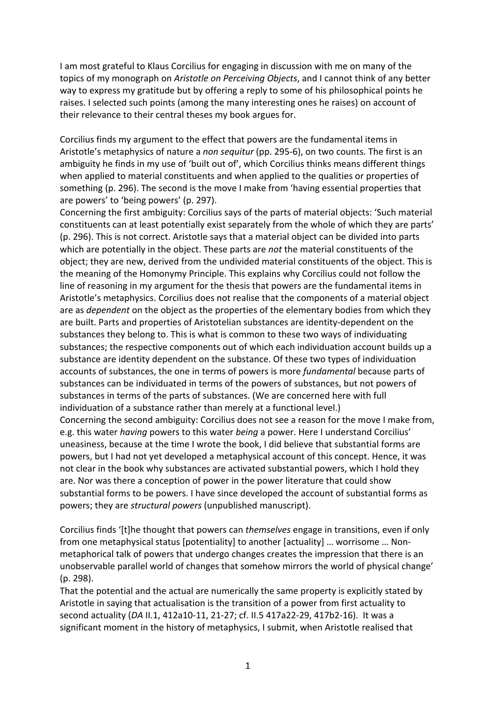I am most grateful to Klaus Corcilius for engaging in discussion with me on many of the topics of my monograph on *Aristotle on Perceiving Objects*, and I cannot think of any better way to express my gratitude but by offering a reply to some of his philosophical points he raises. I selected such points (among the many interesting ones he raises) on account of their relevance to their central theses my book argues for.

Corcilius finds my argument to the effect that powers are the fundamental items in Aristotle's metaphysics of nature a *non sequitur* (pp. 295-6), on two counts. The first is an ambiguity he finds in my use of 'built out of', which Corcilius thinks means different things when applied to material constituents and when applied to the qualities or properties of something (p. 296). The second is the move I make from 'having essential properties that are powers' to 'being powers' (p. 297).

Concerning the first ambiguity: Corcilius says of the parts of material objects: 'Such material constituents can at least potentially exist separately from the whole of which they are parts' (p. 296). This is not correct. Aristotle says that a material object can be divided into parts which are potentially in the object. These parts are *not* the material constituents of the object; they are new, derived from the undivided material constituents of the object. This is the meaning of the Homonymy Principle. This explains why Corcilius could not follow the line of reasoning in my argument for the thesis that powers are the fundamental items in Aristotle's metaphysics. Corcilius does not realise that the components of a material object are as *dependent* on the object as the properties of the elementary bodies from which they are built. Parts and properties of Aristotelian substances are identity-dependent on the substances they belong to. This is what is common to these two ways of individuating substances; the respective components out of which each individuation account builds up a substance are identity dependent on the substance. Of these two types of individuation accounts of substances, the one in terms of powers is more *fundamental* because parts of substances can be individuated in terms of the powers of substances, but not powers of substances in terms of the parts of substances. (We are concerned here with full individuation of a substance rather than merely at a functional level.) Concerning the second ambiguity: Corcilius does not see a reason for the move I make from, e.g. this water *having* powers to this water *being* a power. Here I understand Corcilius'

uneasiness, because at the time I wrote the book, I did believe that substantial forms are powers, but I had not yet developed a metaphysical account of this concept. Hence, it was not clear in the book why substances are activated substantial powers, which I hold they are. Nor was there a conception of power in the power literature that could show substantial forms to be powers. I have since developed the account of substantial forms as powers; they are *structural powers* (unpublished manuscript).

Corcilius finds '[t]he thought that powers can *themselves* engage in transitions, even if only from one metaphysical status [potentiality] to another [actuality] ... worrisome ... Nonmetaphorical talk of powers that undergo changes creates the impression that there is an unobservable parallel world of changes that somehow mirrors the world of physical change' (p. 298). 

That the potential and the actual are numerically the same property is explicitly stated by Aristotle in saying that actualisation is the transition of a power from first actuality to second actuality (DA II.1, 412a10-11, 21-27; cf. II.5 417a22-29, 417b2-16). It was a significant moment in the history of metaphysics, I submit, when Aristotle realised that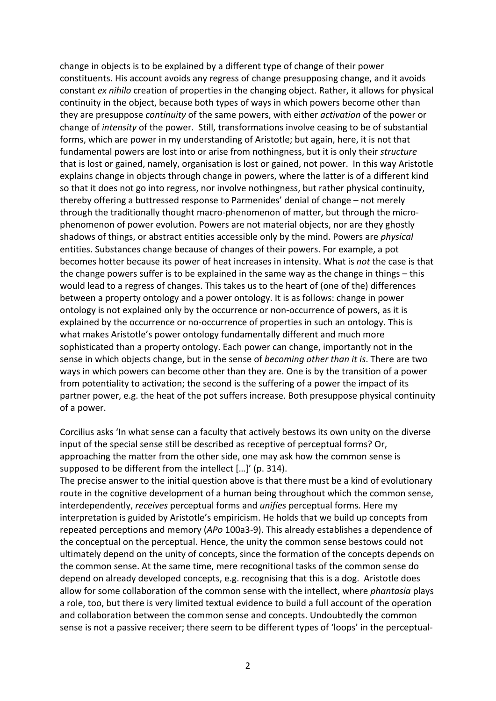change in objects is to be explained by a different type of change of their power constituents. His account avoids any regress of change presupposing change, and it avoids constant *ex nihilo* creation of properties in the changing object. Rather, it allows for physical continuity in the object, because both types of ways in which powers become other than they are presuppose *continuity* of the same powers, with either *activation* of the power or change of *intensity* of the power. Still, transformations involve ceasing to be of substantial forms, which are power in my understanding of Aristotle; but again, here, it is not that fundamental powers are lost into or arise from nothingness, but it is only their *structure* that is lost or gained, namely, organisation is lost or gained, not power. In this way Aristotle explains change in objects through change in powers, where the latter is of a different kind so that it does not go into regress, nor involve nothingness, but rather physical continuity, thereby offering a buttressed response to Parmenides' denial of change – not merely through the traditionally thought macro-phenomenon of matter, but through the microphenomenon of power evolution. Powers are not material objects, nor are they ghostly shadows of things, or abstract entities accessible only by the mind. Powers are *physical* entities. Substances change because of changes of their powers. For example, a pot becomes hotter because its power of heat increases in intensity. What is *not* the case is that the change powers suffer is to be explained in the same way as the change in things  $-$  this would lead to a regress of changes. This takes us to the heart of (one of the) differences between a property ontology and a power ontology. It is as follows: change in power ontology is not explained only by the occurrence or non-occurrence of powers, as it is explained by the occurrence or no-occurrence of properties in such an ontology. This is what makes Aristotle's power ontology fundamentally different and much more sophisticated than a property ontology. Each power can change, importantly not in the sense in which objects change, but in the sense of *becoming other than it is*. There are two ways in which powers can become other than they are. One is by the transition of a power from potentiality to activation; the second is the suffering of a power the impact of its partner power, e.g. the heat of the pot suffers increase. Both presuppose physical continuity of a power.

Corcilius asks 'In what sense can a faculty that actively bestows its own unity on the diverse input of the special sense still be described as receptive of perceptual forms? Or, approaching the matter from the other side, one may ask how the common sense is supposed to be different from the intellect [...]' (p. 314).

The precise answer to the initial question above is that there must be a kind of evolutionary route in the cognitive development of a human being throughout which the common sense, interdependently, *receives* perceptual forms and *unifies* perceptual forms. Here my interpretation is guided by Aristotle's empiricism. He holds that we build up concepts from repeated perceptions and memory (APo 100a3-9). This already establishes a dependence of the conceptual on the perceptual. Hence, the unity the common sense bestows could not ultimately depend on the unity of concepts, since the formation of the concepts depends on the common sense. At the same time, mere recognitional tasks of the common sense do depend on already developed concepts, e.g. recognising that this is a dog. Aristotle does allow for some collaboration of the common sense with the intellect, where *phantasia* plays a role, too, but there is very limited textual evidence to build a full account of the operation and collaboration between the common sense and concepts. Undoubtedly the common sense is not a passive receiver; there seem to be different types of 'loops' in the perceptual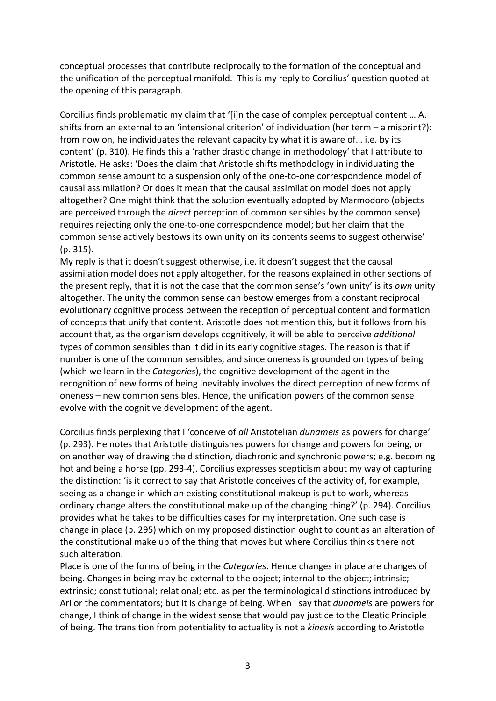conceptual processes that contribute reciprocally to the formation of the conceptual and the unification of the perceptual manifold. This is my reply to Corcilius' question quoted at the opening of this paragraph.

Corcilius finds problematic my claim that '[i]n the case of complex perceptual content ... A. shifts from an external to an 'intensional criterion' of individuation (her term  $-$  a misprint?): from now on, he individuates the relevant capacity by what it is aware of... i.e. by its content' (p. 310). He finds this a 'rather drastic change in methodology' that I attribute to Aristotle. He asks: 'Does the claim that Aristotle shifts methodology in individuating the common sense amount to a suspension only of the one-to-one correspondence model of causal assimilation? Or does it mean that the causal assimilation model does not apply altogether? One might think that the solution eventually adopted by Marmodoro (objects are perceived through the *direct* perception of common sensibles by the common sense) requires rejecting only the one-to-one correspondence model; but her claim that the common sense actively bestows its own unity on its contents seems to suggest otherwise'  $(p. 315)$ .

My reply is that it doesn't suggest otherwise, i.e. it doesn't suggest that the causal assimilation model does not apply altogether, for the reasons explained in other sections of the present reply, that it is not the case that the common sense's 'own unity' is its *own* unity altogether. The unity the common sense can bestow emerges from a constant reciprocal evolutionary cognitive process between the reception of perceptual content and formation of concepts that unify that content. Aristotle does not mention this, but it follows from his account that, as the organism develops cognitively, it will be able to perceive *additional* types of common sensibles than it did in its early cognitive stages. The reason is that if number is one of the common sensibles, and since oneness is grounded on types of being (which we learn in the *Categories*), the cognitive development of the agent in the recognition of new forms of being inevitably involves the direct perception of new forms of oneness – new common sensibles. Hence, the unification powers of the common sense evolve with the cognitive development of the agent.

Corcilius finds perplexing that I 'conceive of *all* Aristotelian *dunameis* as powers for change' (p. 293). He notes that Aristotle distinguishes powers for change and powers for being, or on another way of drawing the distinction, diachronic and synchronic powers; e.g. becoming hot and being a horse (pp. 293-4). Corcilius expresses scepticism about my way of capturing the distinction: 'is it correct to say that Aristotle conceives of the activity of, for example, seeing as a change in which an existing constitutional makeup is put to work, whereas ordinary change alters the constitutional make up of the changing thing?' (p. 294). Corcilius provides what he takes to be difficulties cases for my interpretation. One such case is change in place (p. 295) which on my proposed distinction ought to count as an alteration of the constitutional make up of the thing that moves but where Corcilius thinks there not such alteration.

Place is one of the forms of being in the *Categories*. Hence changes in place are changes of being. Changes in being may be external to the object; internal to the object; intrinsic; extrinsic; constitutional; relational; etc. as per the terminological distinctions introduced by Ari or the commentators; but it is change of being. When I say that *dunameis* are powers for change, I think of change in the widest sense that would pay justice to the Eleatic Principle of being. The transition from potentiality to actuality is not a *kinesis* according to Aristotle